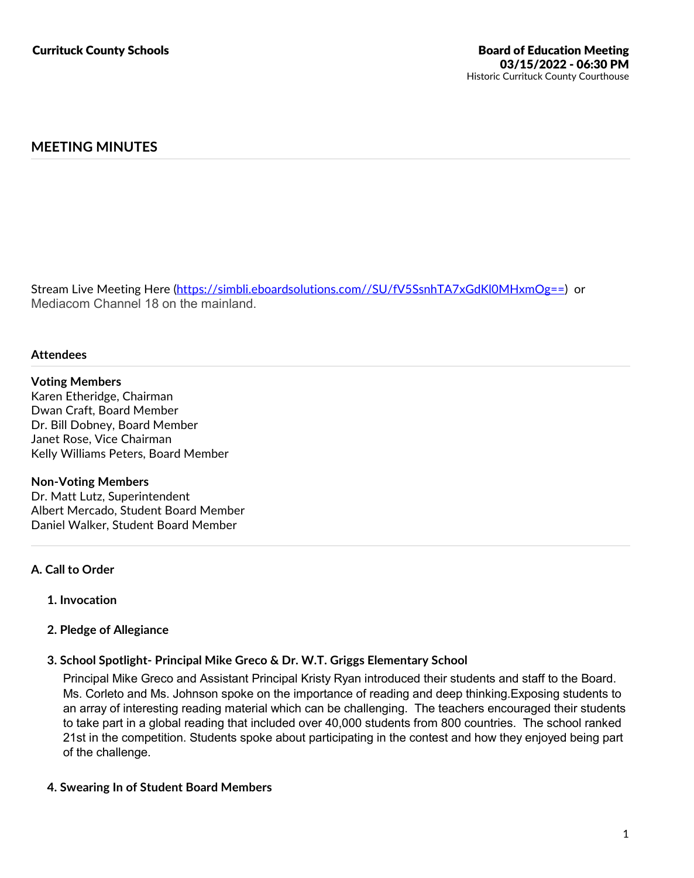# **MEETING MINUTES**

Stream Live Meeting Here (https://simbli.eboardsolutions.com//SU/fV5SsnhTA7xGdKl0MHxmOg==) or Mediacom Channel 18 on the mainland.

#### **Attendees**

#### **Voting Members**

Karen Etheridge, Chairman Dwan Craft, Board Member Dr. Bill Dobney, Board Member Janet Rose, Vice Chairman Kelly Williams Peters, Board Member

#### **Non-Voting Members**

Dr. Matt Lutz, Superintendent Albert Mercado, Student Board Member Daniel Walker, Student Board Member

### **A. Call to Order**

**1. Invocation**

### **2. Pledge of Allegiance**

## **3. School Spotlight- Principal Mike Greco & Dr. W.T. Griggs Elementary School**

Principal Mike Greco and Assistant Principal Kristy Ryan introduced their students and staff to the Board. Ms. Corleto and Ms. Johnson spoke on the importance of reading and deep thinking. Exposing students to an array of interesting reading material which can be challenging. The teachers encouraged their students to take part in a global reading that included over 40,000 students from 800 countries. The school ranked 21st in the competition. Students spoke about participating in the contest and how they enjoyed being part of the challenge.

## **4. Swearing In of Student Board Members**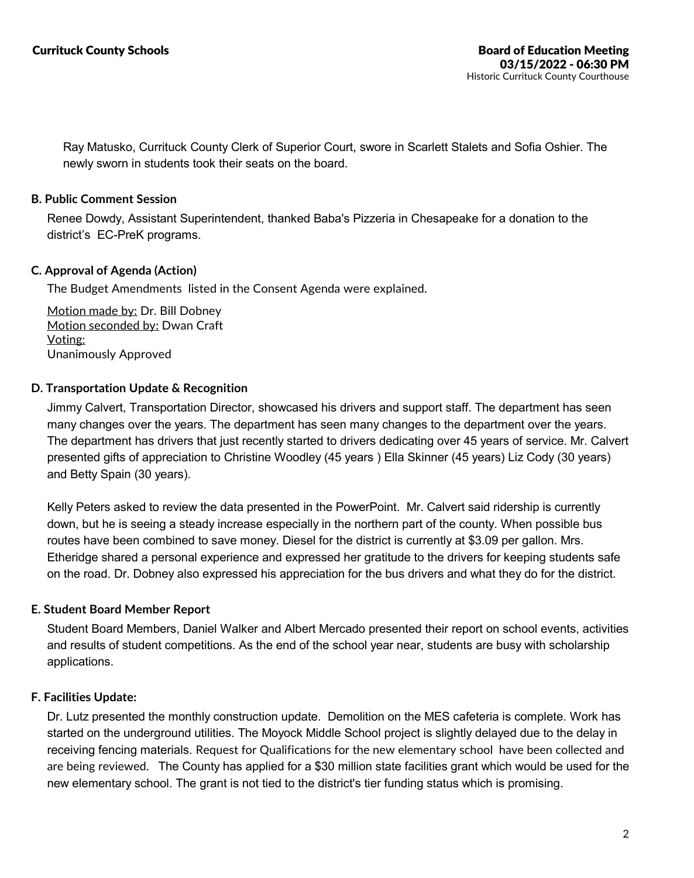Ray Matusko, Currituck County Clerk of Superior Court, swore in Scarlett Stalets and Sofia Oshier. The newly sworn in students took their seats on the board.

## **B. Public Comment Session**

Renee Dowdy, Assistant Superintendent, thanked Baba's Pizzeria in Chesapeake for a donation to the district's EC-PreK programs.

## **C. Approval of Agenda (Action)**

The Budget Amendments listed in the Consent Agenda were explained.

Motion made by: Dr. Bill Dobney Motion seconded by: Dwan Craft Voting: Unanimously Approved

## **D. Transportation Update & Recognition**

Jimmy Calvert, Transportation Director, showcased his drivers and support staff. The department has seen many changes over the years. The department has seen many changes to the department over the years. The department has drivers that just recently started to drivers dedicating over 45 years of service. Mr. Calvert presented gifts of appreciation to Christine Woodley (45 years ) Ella Skinner (45 years) Liz Cody (30 years) and Betty Spain (30 years).

Kelly Peters asked to review the data presented in the PowerPoint. Mr. Calvert said ridership is currently down, but he is seeing a steady increase especially in the northern part of the county. When possible bus routes have been combined to save money. Diesel for the district is currently at \$3.09 per gallon. Mrs. Etheridge shared a personal experience and expressed her gratitude to the drivers for keeping students safe on the road. Dr. Dobney also expressed his appreciation for the bus drivers and what they do for the district.

## **E. Student Board Member Report**

Student Board Members, Daniel Walker and Albert Mercado presented their report on school events, activities and results of student competitions. As the end of the school year near, students are busy with scholarship applications.

### **F. Facilities Update:**

Dr. Lutz presented the monthly construction update. Demolition on the MES cafeteria is complete. Work has started on the underground utilities. The Moyock Middle School project is slightly delayed due to the delay in receiving fencing materials. Request for Qualifications for the new elementary school have been collected and are being reviewed. The County has applied for a \$30 million state facilities grant which would be used for the new elementary school. The grant is not tied to the district's tier funding status which is promising.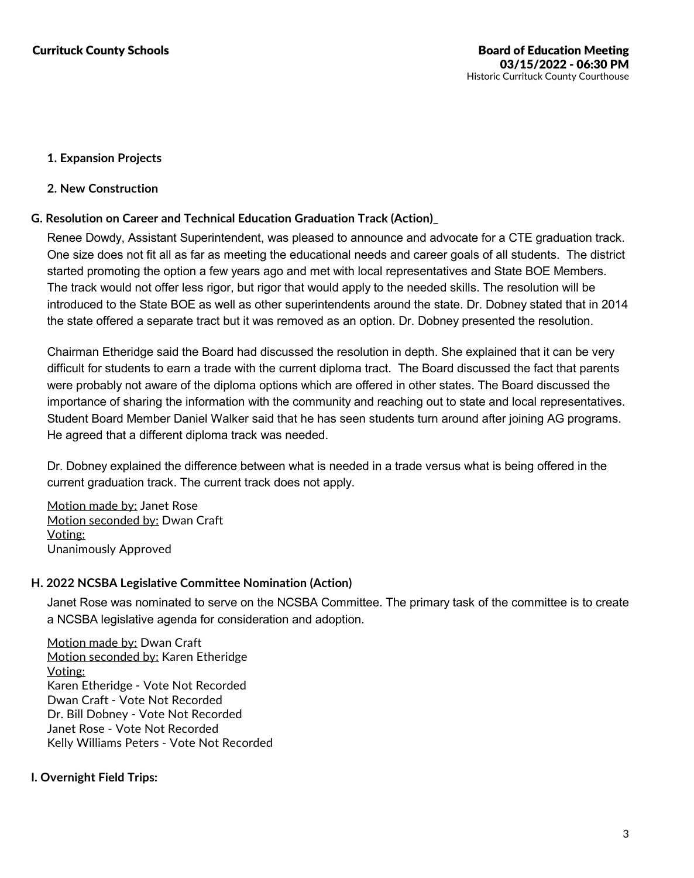## **1. Expansion Projects**

### **2. New Construction**

## **G. Resolution on Career and Technical Education Graduation Track (Action)\_**

Renee Dowdy, Assistant Superintendent, was pleased to announce and advocate for a CTE graduation track. One size does not fit all as far as meeting the educational needs and career goals of all students. The district started promoting the option a few years ago and met with local representatives and State BOE Members. The track would not offer less rigor, but rigor that would apply to the needed skills. The resolution will be introduced to the State BOE as well as other superintendents around the state. Dr. Dobney stated that in 2014 the state offered a separate tract but it was removed as an option. Dr. Dobney presented the resolution.

Chairman Etheridge said the Board had discussed the resolution in depth. She explained that it can be very difficult for students to earn a trade with the current diploma tract. The Board discussed the fact that parents were probably not aware of the diploma options which are offered in other states. The Board discussed the importance ofsharing the information with the community and reaching out to state and local representatives. Student Board Member Daniel Walker said that he has seen students turn around after joining AG programs. He agreed that a different diploma track was needed.

Dr. Dobney explained the difference between what is needed in a trade versus what is being offered in the current graduation track. The current track does not apply.

Motion made by: Janet Rose Motion seconded by: Dwan Craft Voting: Unanimously Approved

### **H. 2022 NCSBA Legislative Committee Nomination (Action)**

Janet Rose was nominated to serve on the NCSBA Committee. The primary task of the committee is to create a NCSBA legislative agenda for consideration and adoption.

Motion made by: Dwan Craft Motion seconded by: Karen Etheridge Voting: Karen Etheridge - Vote Not Recorded Dwan Craft - Vote Not Recorded Dr. Bill Dobney - Vote Not Recorded Janet Rose - Vote Not Recorded Kelly Williams Peters - Vote Not Recorded

## **I. Overnight Field Trips:**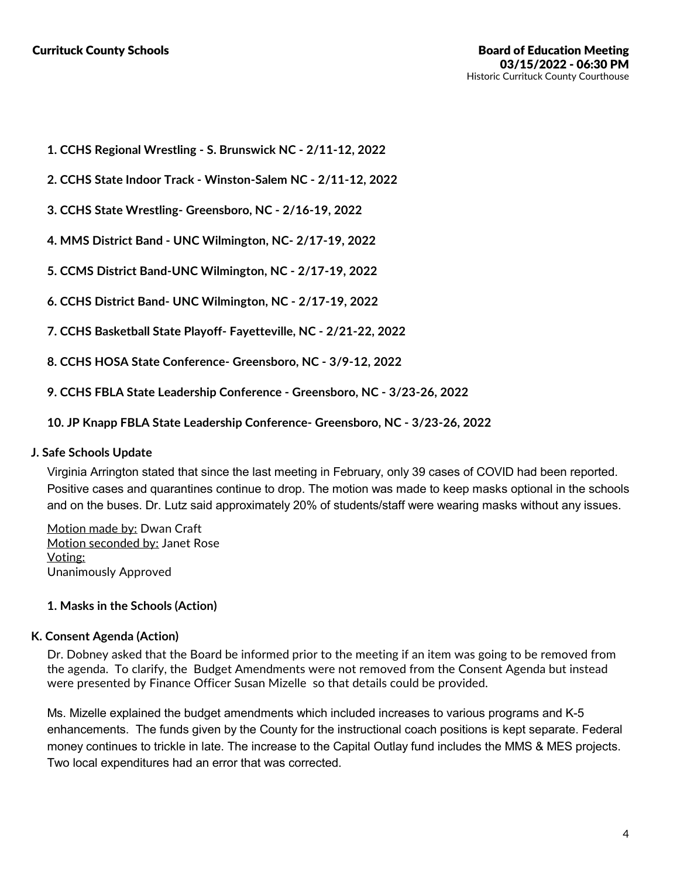- **1. CCHS Regional Wrestling -S. Brunswick NC - 2/11-12, 2022**
- **2. CCHS State Indoor Track -Winston-Salem NC - 2/11-12, 2022**
- **3. CCHS State Wrestling- Greensboro, NC - 2/16-19, 2022**
- **4. MMS District Band - UNC Wilmington, NC- 2/17-19, 2022**
- **5. CCMS District Band-UNC Wilmington, NC - 2/17-19, 2022**
- **6. CCHS District Band- UNC Wilmington, NC - 2/17-19, 2022**
- **7. CCHS Basketball State Playoff- Fayetteville, NC - 2/21-22, 2022**
- **8. CCHS HOSA State Conference- Greensboro, NC - 3/9-12, 2022**
- **9. CCHS FBLA State Leadership Conference -Greensboro, NC - 3/23-26, 2022**
- **10. JP Knapp FBLA State Leadership Conference- Greensboro, NC - 3/23-26, 2022**

### **J. Safe Schools Update**

Virginia Arrington stated that since the last meeting in February, only 39 cases of COVID had been reported. Positive cases and quarantines continue to drop. The motion was made to keep masks optional in the schools and on the buses. Dr. Lutz said approximately 20% of students/staff were wearing masks without any issues.

Motion made by: Dwan Craft Motion seconded by: Janet Rose Voting: Unanimously Approved

### **1. Masks in the Schools (Action)**

### **K. Consent Agenda (Action)**

Dr. Dobney asked that the Board be informed prior to the meeting if an item was going to be removed from the agenda. To clarify, the Budget Amendments were not removed from the Consent Agenda but instead were presented by Finance Officer Susan Mizelle so that details could be provided.

Ms. Mizelle explained the budget amendments which included increases to various programs and K-5 enhancements. The funds given by the County for the instructional coach positions is kept separate. Federal money continues to trickle in late. The increase to the Capital Outlay fund includes the MMS & MES projects. Two local expenditures had an error that was corrected.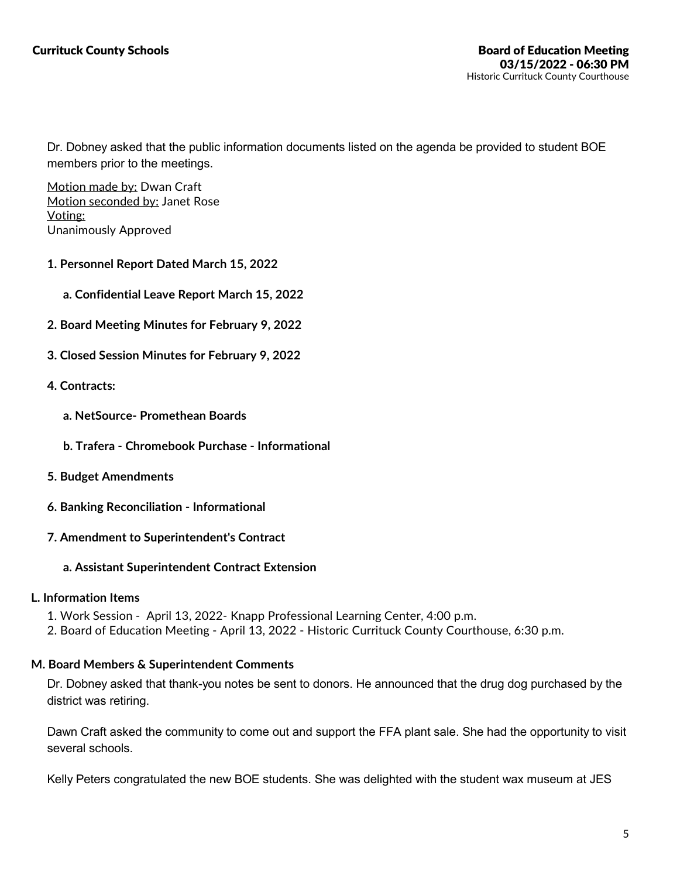Dr. Dobney asked that the public information documents listed on the agenda be provided to student BOE members prior to the meetings.

Motion made by: Dwan Craft Motion seconded by: Janet Rose Voting: Unanimously Approved

- **1. Personnel Report Dated March 15, 2022**
	- **a. Confidential Leave Report March 15, 2022**
- **2. Board Meeting Minutes for February 9, 2022**
- **3. Closed Session Minutes for February 9, 2022**
- **4. Contracts:**
	- **a. NetSource- Promethean Boards**
	- **b. Trafera -Chromebook Purchase -Informational**
- **5. Budget Amendments**
- **6. Banking Reconciliation - Informational**
- **7. Amendment to Superintendent's Contract**
	- **a. Assistant Superintendent Contract Extension**

### **L. Information Items**

- 
- 1. Work Session April 13, 2022- Knapp Professional Learning Center, 4:00 p.m.<br>2. Board of Education Meeting April 13, 2022 Historic Currituck County Courthouse, 6:30 p.m.

### **M. Board Members & Superintendent Comments**

Dr. Dobney asked that thank-you notes be sent to donors. He announced that the drug dog purchased by the district was retiring.

Dawn Craft asked the community to come out and support the FFA plant sale. She had the opportunity to visit several schools.

Kelly Peters congratulated the new BOE students. She was delighted with the student wax museum at JES